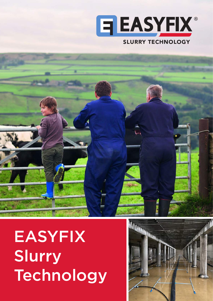

# EASYFIX Slurry Technology

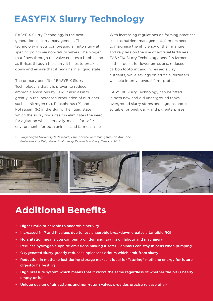# **EASYFIX Slurry Technology**

EASYFIX Slurry Technology is the next generation in slurry management. The technology injects compressed air into slurry at specific points via non-return valves. The oxygen that flows through the valve creates a bubble and as it rises through the slurry it helps to break it down and ensure that it remains in a liquid state.

The primary benefit of EASYFIX Slurry Technology is that it is proven to reduce ammonia emissions by 51%<sup>1</sup>. It also assists greatly in the increased production of nutrients such as Nitrogen (N), Phosphorus (P) and Potassium (K) in the slurry. The liquid state which the slurry finds itself in eliminates the need for agitation which, crucially, makes for safer environments for both animals and farmers alike.

With increasing regulations on farming practices such as nutrient management, farmers need to maximise the efficiency of their manure and rely less on the use of artificial fertilisers. EASYFIX Slurry Technology benefits farmers in their quest for lower emissions, reduced carbon footprint and increased slurry nutrients, while savings on artificial fertilisers will help improve overall farm-profit.

EASYFIX Slurry Technology can be fitted in both new and old underground tanks, overground slurry stores and lagoons and is suitable for beef, dairy and pig enterprises.

*1. Wageningen University & Research, Effect of the Aeromix System on Ammonia Emissions in a Dairy Barn: Exploratory Research at Dairy Campus, 2015.*



### **Additional Benefits**

- Higher ratio of aerobic to anaerobic activity
- Increased N, P and K values due to less anaerobic breakdown creates a tangible ROI
- No agitation means you can pump on demand, saving on labour and machinery
- Reduces hydrogen sulphide emissions making it safer animals can stay in pens when pumping
- Oxygenated slurry greatly reduces unpleasant odours which emit from slurry
- Reduction in methane lost during storage makes it ideal for "storing" methane energy for future digestor harvesting
- High pressure system which means that it works the same regardless of whether the pit is nearly empty or full
- Unique design of air systems and non-return valves provides precise release of air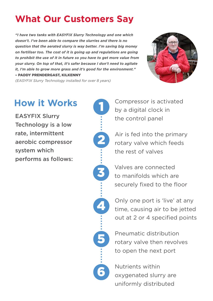# **What Our Customers Say**

*"I have two tanks with EASYFIX Slurry Technology and one which doesn't. I've been able to compare the slurries and there is no question that the aerated slurry is way better. I'm saving big money on fertiliser too. The cost of it is going up and regulations are going to prohibit the use of it in future so you have to get more value from your slurry. On top of that, it's safer because I don't need to agitate it, I'm able to grow more grass and it's good for the environment."* – PADDY PRENDERGAST, KILKENNY



*(EASYFIX Slurry Technology installed for over 8 years)*

EASYFIX Slurry Technology is a low rate, intermittent aerobic compressor system which performs as follows:



How it Works **Compressor is activated** by a digital clock in the control panel

> Air is fed into the primary rotary valve which feeds the rest of valves

Valves are connected to manifolds which are securely fixed to the floor

Only one port is 'live' at any time, causing air to be jetted out at 2 or 4 specified points

Pneumatic distribution rotary valve then revolves to open the next port

Nutrients within oxygenated slurry are uniformly distributed